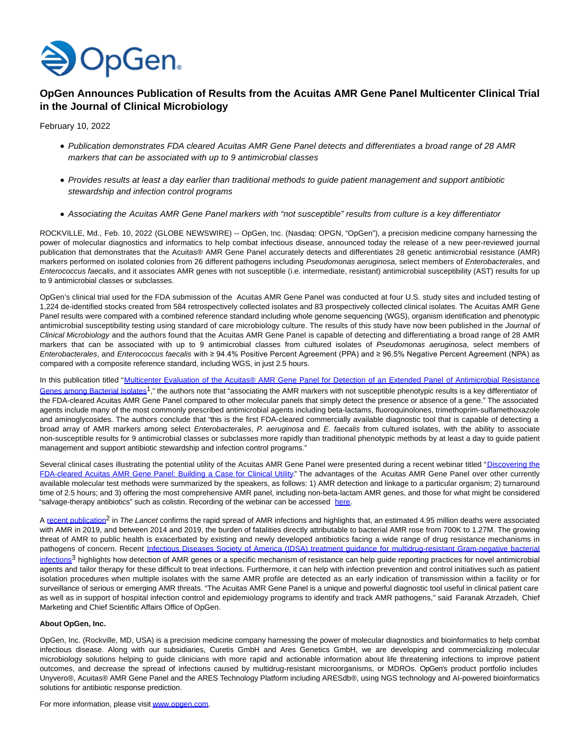

## **OpGen Announces Publication of Results from the Acuitas AMR Gene Panel Multicenter Clinical Trial in the Journal of Clinical Microbiology**

February 10, 2022

- Publication demonstrates FDA cleared Acuitas AMR Gene Panel detects and differentiates a broad range of 28 AMR markers that can be associated with up to 9 antimicrobial classes
- Provides results at least a day earlier than traditional methods to guide patient management and support antibiotic stewardship and infection control programs
- Associating the Acuitas AMR Gene Panel markers with "not susceptible" results from culture is a key differentiator

ROCKVILLE, Md., Feb. 10, 2022 (GLOBE NEWSWIRE) -- OpGen, Inc. (Nasdaq: OPGN, "OpGen"), a precision medicine company harnessing the power of molecular diagnostics and informatics to help combat infectious disease, announced today the release of a new peer-reviewed journal publication that demonstrates that the Acuitas® AMR Gene Panel accurately detects and differentiates 28 genetic antimicrobial resistance (AMR) markers performed on isolated colonies from 26 different pathogens including Pseudomonas aeruginosa, select members of Enterobacterales, and Enterococcus faecalis, and it associates AMR genes with not susceptible (i.e. intermediate, resistant) antimicrobial susceptibility (AST) results for up to 9 antimicrobial classes or subclasses.

OpGen's clinical trial used for the FDA submission of the Acuitas AMR Gene Panel was conducted at four U.S. study sites and included testing of 1,224 de-identified stocks created from 584 retrospectively collected isolates and 83 prospectively collected clinical isolates. The Acuitas AMR Gene Panel results were compared with a combined reference standard including whole genome sequencing (WGS), organism identification and phenotypic antimicrobial susceptibility testing using standard of care microbiology culture. The results of this study have now been published in the Journal of Clinical Microbiology and the authors found that the Acuitas AMR Gene Panel is capable of detecting and differentiating a broad range of 28 AMR markers that can be associated with up to 9 antimicrobial classes from cultured isolates of Pseudomonas aeruginosa, select members of Enterobacterales, and Enterococcus faecalis with ≥ 94.4% Positive Percent Agreement (PPA) and ≥ 96.5% Negative Percent Agreement (NPA) as compared with a composite reference standard, including WGS, in just 2.5 hours.

In this publication titled ["Multicenter Evaluation of the Acuitas® AMR Gene Panel for Detection of an Extended Panel of Antimicrobial Resistance](https://www.globenewswire.com/Tracker?data=fvxc6Bawpwjf4W2MTKrTCj6ZFWENrYpzo96rTsBPi0dk52I9na5m3YOuPhEpiUz64bVscrgk1gka11JRNlAusfaU81mM5W0vL8gUDVoKVQi5zgqOhT3_z7oEyVcul3kP35cHb-ZWfrgCuqfPXtFfMZcyQqXW0x7facB8TYG-2F0zeCT7NCRh5QNLx8u3WbgbMl1JvG6Rb9D5_i8nJDRkL8MAwJAt-BJsh5FkrsvH5386C0etxvu3ZZzRan9n3BvpEhDP89NtOUk0SfRu-gJUy7H4DkpDTpiqVAgAPgvP0c0=) Genes among Bacterial Isolates<sup>1</sup>," the authors note that "associating the AMR markers with not susceptible phenotypic results is a key differentiator of the FDA-cleared Acuitas AMR Gene Panel compared to other molecular panels that simply detect the presence or absence of a gene." The associated agents include many of the most commonly prescribed antimicrobial agents including beta-lactams, fluoroquinolones, trimethoprim-sulfamethoxazole and aminoglycosides. The authors conclude that "this is the first FDA-cleared commercially available diagnostic tool that is capable of detecting a broad array of AMR markers among select *Enterobacterales*, P. aeruginosa and E. faecalis from cultured isolates, with the ability to associate non-susceptible results for 9 antimicrobial classes or subclasses more rapidly than traditional phenotypic methods by at least a day to guide patient management and support antibiotic stewardship and infection control programs."

Several clinical cases illustrating the potential utility of the Acuitas AMR Gene Panel were presented during a recent webinar titled "Discovering the [FDA-cleared Acuitas AMR Gene Panel: Building a Case for Clinical Utility." The advantages of the Acuitas AMR Gene Panel over other currently](https://www.globenewswire.com/Tracker?data=yXlaOuqkK5slBWXIu1kaaphg4lO6_EhKVJz17oDkYsi8-HfKsRjL2Vsg1q4zNnTwgn1yi5Y4F5SFcVHhHGK1M8hwDjSbw1IpdnWuq4a0_P6gt4CiLSiC2x82Le9zYCkJM92wAmpZbbaZMtMhOVC8EwTv40bsfUNnza_QuqzEDwqYPdzn00piqjM40R4bH8emPNUfcTKbRda1pXEfzrjVJw==) available molecular test methods were summarized by the speakers, as follows: 1) AMR detection and linkage to a particular organism; 2) turnaround time of 2.5 hours; and 3) offering the most comprehensive AMR panel, including non-beta-lactam AMR genes, and those for what might be considered "salvage-therapy antibiotics" such as colistin. Recording of the webinar can be accessed [here.](https://www.globenewswire.com/Tracker?data=bw8H0qJzBw0xyAkzTDUisaFzZEG7P42ddkTwomN8NzUSTuXUcOCv5q2tlcoVtpCBLeY7RpeBzKukDZsbW-h5m1mmN0HYPysgh3TN4PTtsjY=)

A [recent publication](https://www.globenewswire.com/Tracker?data=TU2poNdyF9-c0CWfEAz7AwiXEJiAwh1D9dcJ_a67HEtgDy5ntsdbcx6O6jinrUPt5XXqMxacT84a8HjjKjZZocaPBA9tI0-Z2zEkfQaCt4HpXDbfSyYV3iluTK4GUicInqrkUoXl7_8AYafpUia34G6Vu5tgukW3fKfZnhknSPU=)<sup>2</sup> in The Lancet confirms the rapid spread of AMR infections and highlights that, an estimated 4.95 million deaths were associated with AMR in 2019, and between 2014 and 2019, the burden of fatalities directly attributable to bacterial AMR rose from 700K to 1.27M. The growing threat of AMR to public health is exacerbated by existing and newly developed antibiotics facing a wide range of drug resistance mechanisms in pathogens of concern. Recent [Infectious Diseases Society of America \(IDSA\) treatment guidance for multidrug-resistant Gram-negative bacterial](https://www.globenewswire.com/Tracker?data=S5in32aCqK74Nlll8b9Z4jxWUL6rrqq1xokb9BpPLdiyNuMjCmWuQANCXoYwI0Vca6V3krP60D-o4D0dMWsSukTuRSeRF2L6GM_T-gC7REaSoFLFaGot8xz2AcqLSB1f4m_1zUd-vUExxo3kZikGA8d_ROAeCu0F_ToZvyqvVLwB4pWqbQRZBlGDsMqVPgeje7kk_KQCVyx9GjTg04GtsCxw2FnTyLUvQHtuYYJtZy2r8s6QxLHQGG-nMVkDSiji) infections<sup>3</sup> highlights how detection of AMR genes or a specific mechanism of resistance can help guide reporting practices for novel antimicrobial agents and tailor therapy for these difficult to treat infections. Furthermore, it can help with infection prevention and control initiatives such as patient isolation procedures when multiple isolates with the same AMR profile are detected as an early indication of transmission within a facility or for surveillance of serious or emerging AMR threats. "The Acuitas AMR Gene Panel is a unique and powerful diagnostic tool useful in clinical patient care as well as in support of hospital infection control and epidemiology programs to identify and track AMR pathogens," said Faranak Atrzadeh, Chief Marketing and Chief Scientific Affairs Office of OpGen.

## **About OpGen, Inc.**

OpGen, Inc. (Rockville, MD, USA) is a precision medicine company harnessing the power of molecular diagnostics and bioinformatics to help combat infectious disease. Along with our subsidiaries, Curetis GmbH and Ares Genetics GmbH, we are developing and commercializing molecular microbiology solutions helping to guide clinicians with more rapid and actionable information about life threatening infections to improve patient outcomes, and decrease the spread of infections caused by multidrug-resistant microorganisms, or MDROs. OpGen's product portfolio includes Unyvero®, Acuitas® AMR Gene Panel and the ARES Technology Platform including ARESdb®, using NGS technology and AI-powered bioinformatics solutions for antibiotic response prediction.

For more information, please visi[t www.opgen.com.](https://www.globenewswire.com/Tracker?data=auBszb97qfp6-8Ze62U2jA5NQrOgGtWwcQXC0Z6O-Qs3LHOtqr-VGnJG4nJ4fA7fYT6G--x_dMH-2mrkrsEmX7oHdCEcp6gcLdHgV_8JF3-egFYIHs7IK5wm9GzQCcuJ7z-yMLeQVtHJbr7E0_Vp-_ekEkIqdOZu5-qbXT3FEQwFLebieocs23eEgh0Hh_DAOdY3Rt_HOExkGK2R0itAvobwjPfuRItHMUZU9visr5o=)